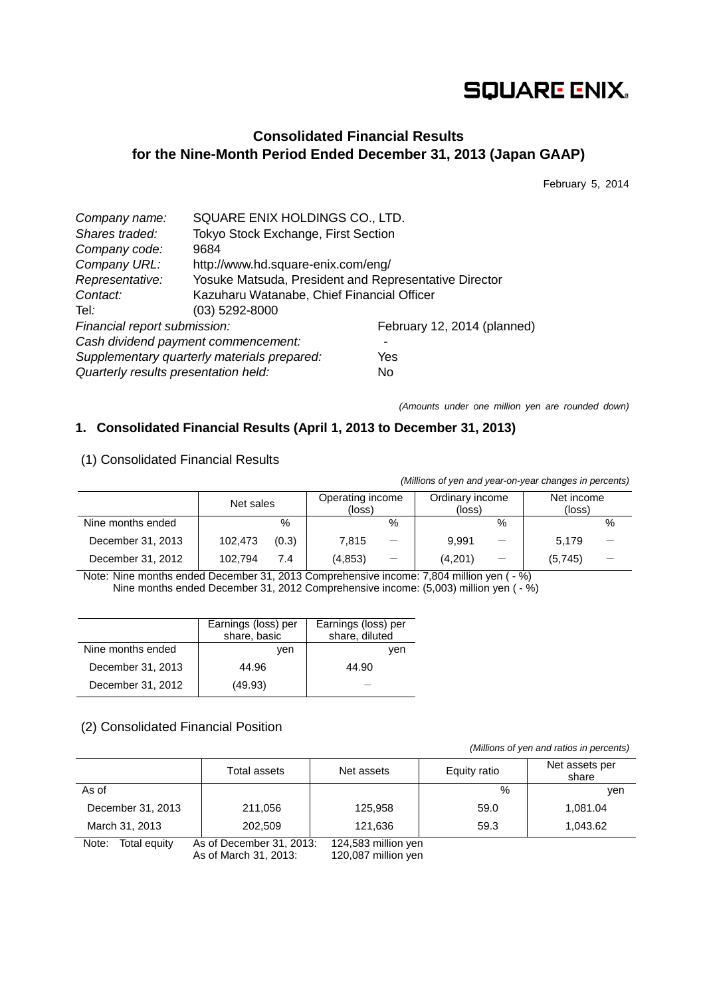# **SQUARE ENIX.**

## **Consolidated Financial Results for the Nine-Month Period Ended December 31, 2013 (Japan GAAP)**

February 5, 2014

| Company name:                        | SQUARE ENIX HOLDINGS CO., LTD.                        |                             |  |  |  |
|--------------------------------------|-------------------------------------------------------|-----------------------------|--|--|--|
| Shares traded:                       | Tokyo Stock Exchange, First Section                   |                             |  |  |  |
| Company code:                        | 9684                                                  |                             |  |  |  |
| Company URL:                         | http://www.hd.square-enix.com/eng/                    |                             |  |  |  |
| Representative:                      | Yosuke Matsuda, President and Representative Director |                             |  |  |  |
| Contact:                             | Kazuharu Watanabe, Chief Financial Officer            |                             |  |  |  |
| Tel:                                 | $(03)$ 5292-8000                                      |                             |  |  |  |
| Financial report submission:         |                                                       | February 12, 2014 (planned) |  |  |  |
| Cash dividend payment commencement:  |                                                       |                             |  |  |  |
|                                      | Supplementary quarterly materials prepared:           | Yes                         |  |  |  |
| Quarterly results presentation held: |                                                       | No                          |  |  |  |

*(Amounts under one million yen are rounded down)*

## **1. Consolidated Financial Results (April 1, 2013 to December 31, 2013)**

## (1) Consolidated Financial Results

*(Millions of yen and year-on-year changes in percents)*

|                   | Net sales |       | Operating income<br>(loss) |   | Ordinary income<br>(loss) |      | Net income<br>(loss) |      |
|-------------------|-----------|-------|----------------------------|---|---------------------------|------|----------------------|------|
| Nine months ended |           | %     |                            | % |                           | $\%$ |                      | $\%$ |
| December 31, 2013 | 102,473   | (0.3) | 7.815                      |   | 9.991                     |      | 5.179                |      |
| December 31, 2012 | 102.794   | 7.4   | (4, 853)                   |   | (4,201)                   |      | (5,745)              |      |

Note: Nine months ended December 31, 2013 Comprehensive income: 7,804 million yen ( - %) Nine months ended December 31, 2012 Comprehensive income: (5,003) million yen ( - %)

|                   | Earnings (loss) per<br>share, basic | Earnings (loss) per<br>share, diluted |
|-------------------|-------------------------------------|---------------------------------------|
| Nine months ended | ven                                 | ven                                   |
| December 31, 2013 | 44.96                               | 44.90                                 |
| December 31, 2012 | (49.93)                             |                                       |

### (2) Consolidated Financial Position

*(Millions of yen and ratios in percents)*

|                       | Total assets             | Equity ratio<br>Net assets |      | Net assets per<br>share |
|-----------------------|--------------------------|----------------------------|------|-------------------------|
| As of                 |                          |                            | %    | ven                     |
| December 31, 2013     | 211,056                  | 125,958                    | 59.0 | 1,081.04                |
| March 31, 2013        | 202.509                  | 121,636                    | 59.3 | 1,043.62                |
| Note:<br>Total equity | As of December 31, 2013: | 124,583 million yen        |      |                         |

As of March 31, 2013: 120,087 million yen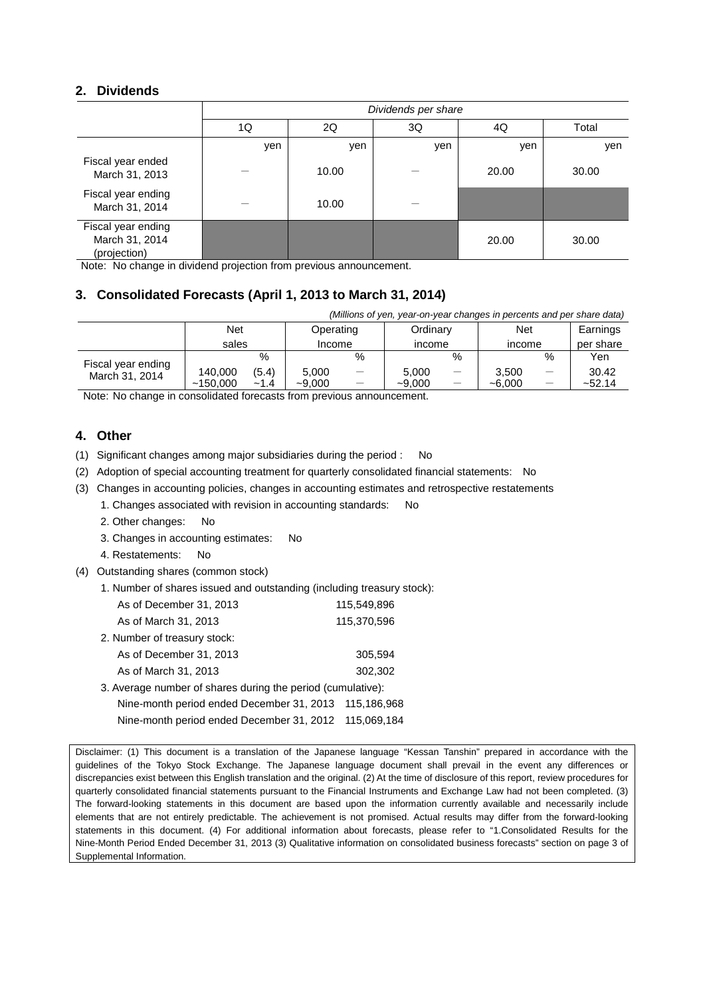### **2. Dividends**

|                                                      | Dividends per share |       |     |       |       |  |  |
|------------------------------------------------------|---------------------|-------|-----|-------|-------|--|--|
|                                                      | 1Q                  | 2Q    | 3Q  | 4Q    | Total |  |  |
|                                                      | yen                 | yen   | yen | yen   | yen   |  |  |
| Fiscal year ended<br>March 31, 2013                  |                     | 10.00 |     | 20.00 | 30.00 |  |  |
| Fiscal year ending<br>March 31, 2014                 |                     | 10.00 |     |       |       |  |  |
| Fiscal year ending<br>March 31, 2014<br>(projection) |                     |       |     | 20.00 | 30.00 |  |  |

Note: No change in dividend projection from previous announcement.

## **3. Consolidated Forecasts (April 1, 2013 to March 31, 2014)**

| (Millions of yen, year-on-year changes in percents and per share data) |            |        |                       |   |          |      |          |   |           |
|------------------------------------------------------------------------|------------|--------|-----------------------|---|----------|------|----------|---|-----------|
|                                                                        | <b>Net</b> |        | Ordinary<br>Operating |   | Net      |      | Earnings |   |           |
|                                                                        | sales      |        | Income                |   | income   |      | income   |   | per share |
| Fiscal year ending                                                     |            | $\%$   |                       | % |          | $\%$ |          | % | Yen       |
| March 31, 2014                                                         | 140,000    | (5.4)  | 5.000                 |   | 5.000    | —    | 3.500    |   | 30.42     |
|                                                                        | ~150.000   | $-1.4$ | $-9.000$              |   | $-9.000$ | —    | $-6.000$ |   | ~52.14    |

Note: No change in consolidated forecasts from previous announcement.

### **4. Other**

(1) Significant changes among major subsidiaries during the period : No

- (2) Adoption of special accounting treatment for quarterly consolidated financial statements: No
- (3) Changes in accounting policies, changes in accounting estimates and retrospective restatements
	- 1. Changes associated with revision in accounting standards: No
	- 2. Other changes: No
	- 3. Changes in accounting estimates: No
	- 4. Restatements: No
- (4) Outstanding shares (common stock)
	- 1. Number of shares issued and outstanding (including treasury stock):

| As of December 31, 2013                                     | 115,549,896 |  |  |  |
|-------------------------------------------------------------|-------------|--|--|--|
| As of March 31, 2013                                        | 115,370,596 |  |  |  |
| 2. Number of treasury stock:                                |             |  |  |  |
| As of December 31, 2013                                     | 305.594     |  |  |  |
| As of March 31, 2013                                        | 302,302     |  |  |  |
| 3. Average number of shares during the period (cumulative): |             |  |  |  |

- Nine-month period ended December 31, 2013 115,186,968
	- Nine-month period ended December 31, 2012 115,069,184

Disclaimer: (1) This document is a translation of the Japanese language "Kessan Tanshin" prepared in accordance with the guidelines of the Tokyo Stock Exchange. The Japanese language document shall prevail in the event any differences or discrepancies exist between this English translation and the original. (2) At the time of disclosure of this report, review procedures for quarterly consolidated financial statements pursuant to the Financial Instruments and Exchange Law had not been completed. (3) The forward-looking statements in this document are based upon the information currently available and necessarily include elements that are not entirely predictable. The achievement is not promised. Actual results may differ from the forward-looking statements in this document. (4) For additional information about forecasts, please refer to "1.Consolidated Results for the Nine-Month Period Ended December 31, 2013 (3) Qualitative information on consolidated business forecasts" section on page 3 of Supplemental Information.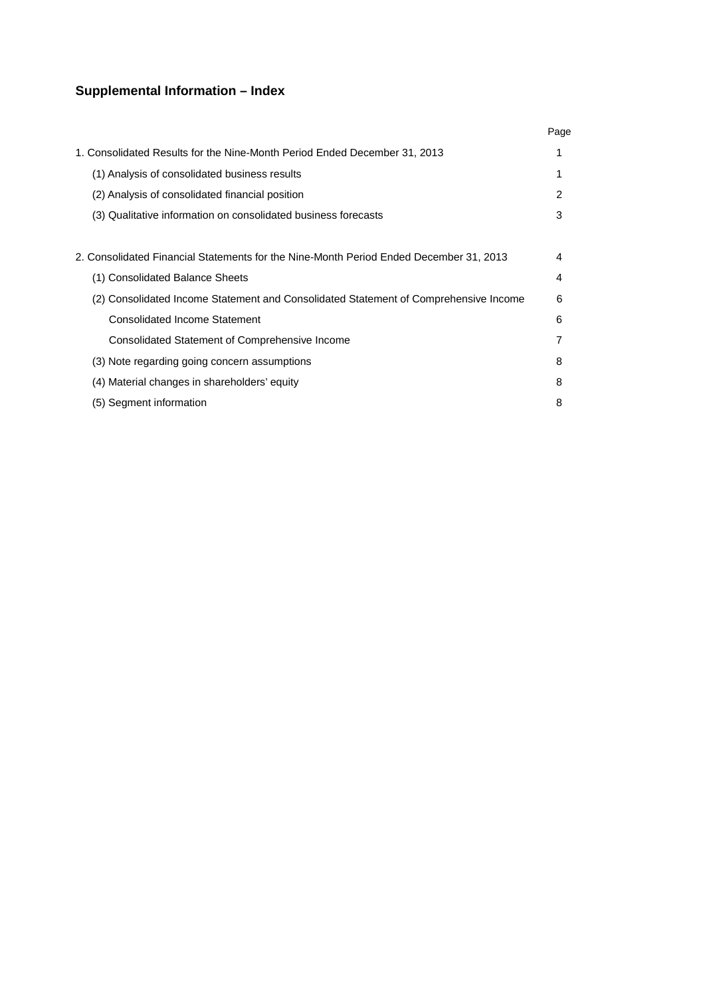## **Supplemental Information – Index**

|                                                                                        | Page           |
|----------------------------------------------------------------------------------------|----------------|
| 1. Consolidated Results for the Nine-Month Period Ended December 31, 2013              | 1              |
| (1) Analysis of consolidated business results                                          | 1              |
| (2) Analysis of consolidated financial position                                        | $\overline{2}$ |
| (3) Qualitative information on consolidated business forecasts                         | 3              |
|                                                                                        |                |
| 2. Consolidated Financial Statements for the Nine-Month Period Ended December 31, 2013 | 4              |
| (1) Consolidated Balance Sheets                                                        | 4              |
| (2) Consolidated Income Statement and Consolidated Statement of Comprehensive Income   | 6              |
| Consolidated Income Statement                                                          | 6              |
| Consolidated Statement of Comprehensive Income                                         | 7              |
| (3) Note regarding going concern assumptions                                           | 8              |
| (4) Material changes in shareholders' equity                                           | 8              |
| (5) Segment information                                                                | 8              |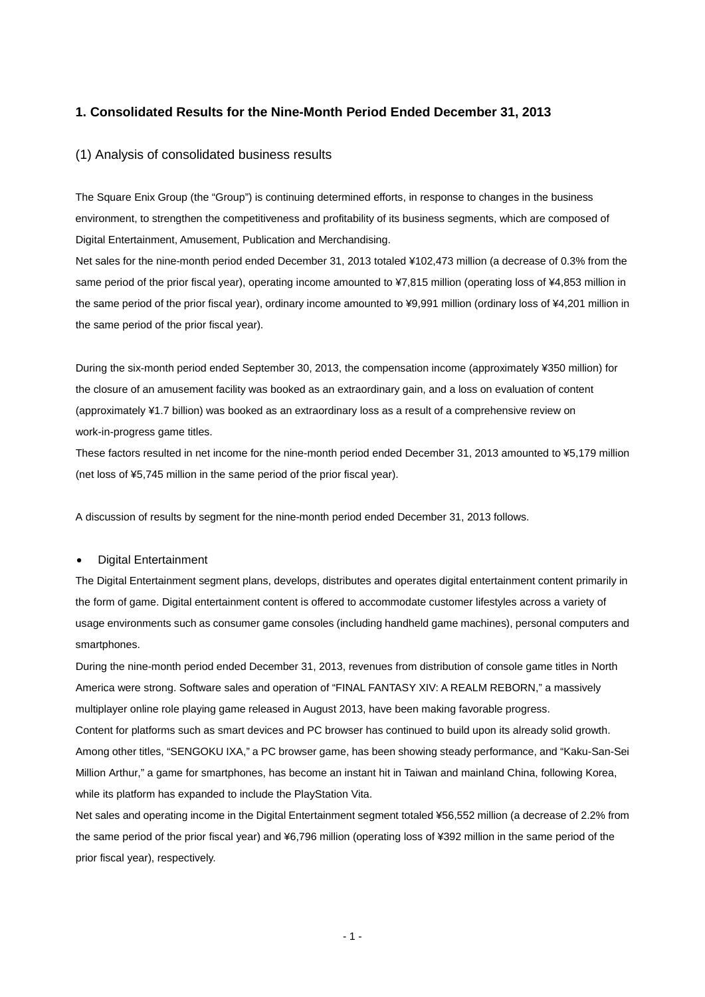### **1. Consolidated Results for the Nine-Month Period Ended December 31, 2013**

#### (1) Analysis of consolidated business results

The Square Enix Group (the "Group") is continuing determined efforts, in response to changes in the business environment, to strengthen the competitiveness and profitability of its business segments, which are composed of Digital Entertainment, Amusement, Publication and Merchandising.

Net sales for the nine-month period ended December 31, 2013 totaled ¥102,473 million (a decrease of 0.3% from the same period of the prior fiscal year), operating income amounted to ¥7,815 million (operating loss of ¥4,853 million in the same period of the prior fiscal year), ordinary income amounted to ¥9,991 million (ordinary loss of ¥4,201 million in the same period of the prior fiscal year).

During the six-month period ended September 30, 2013, the compensation income (approximately ¥350 million) for the closure of an amusement facility was booked as an extraordinary gain, and a loss on evaluation of content (approximately ¥1.7 billion) was booked as an extraordinary loss as a result of a comprehensive review on work-in-progress game titles.

These factors resulted in net income for the nine-month period ended December 31, 2013 amounted to ¥5,179 million (net loss of ¥5,745 million in the same period of the prior fiscal year).

A discussion of results by segment for the nine-month period ended December 31, 2013 follows.

#### • Digital Entertainment

The Digital Entertainment segment plans, develops, distributes and operates digital entertainment content primarily in the form of game. Digital entertainment content is offered to accommodate customer lifestyles across a variety of usage environments such as consumer game consoles (including handheld game machines), personal computers and smartphones.

During the nine-month period ended December 31, 2013, revenues from distribution of console game titles in North America were strong. Software sales and operation of "FINAL FANTASY XIV: A REALM REBORN," a massively multiplayer online role playing game released in August 2013, have been making favorable progress. Content for platforms such as smart devices and PC browser has continued to build upon its already solid growth. Among other titles, "SENGOKU IXA," a PC browser game, has been showing steady performance, and "Kaku-San-Sei Million Arthur," a game for smartphones, has become an instant hit in Taiwan and mainland China, following Korea, while its platform has expanded to include the PlayStation Vita.

Net sales and operating income in the Digital Entertainment segment totaled ¥56,552 million (a decrease of 2.2% from the same period of the prior fiscal year) and ¥6,796 million (operating loss of ¥392 million in the same period of the prior fiscal year), respectively.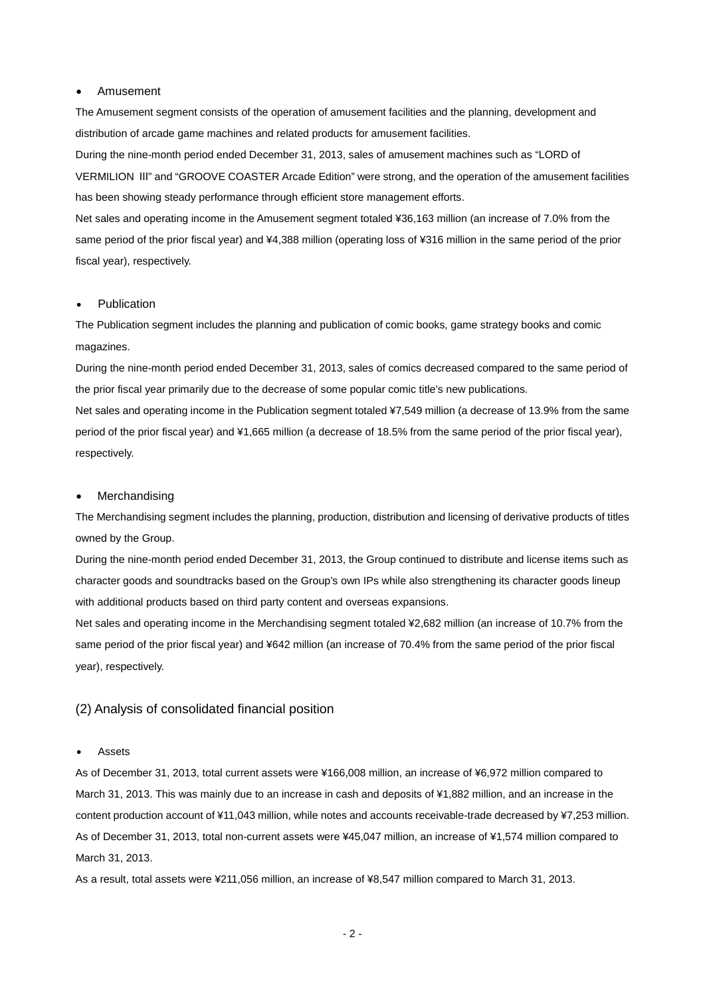#### • Amusement

The Amusement segment consists of the operation of amusement facilities and the planning, development and distribution of arcade game machines and related products for amusement facilities.

During the nine-month period ended December 31, 2013, sales of amusement machines such as "LORD of VERMILION Ⅲ" and "GROOVE COASTER Arcade Edition" were strong, and the operation of the amusement facilities has been showing steady performance through efficient store management efforts.

Net sales and operating income in the Amusement segment totaled ¥36,163 million (an increase of 7.0% from the same period of the prior fiscal year) and ¥4,388 million (operating loss of ¥316 million in the same period of the prior fiscal year), respectively.

#### **Publication**

The Publication segment includes the planning and publication of comic books, game strategy books and comic magazines.

During the nine-month period ended December 31, 2013, sales of comics decreased compared to the same period of the prior fiscal year primarily due to the decrease of some popular comic title's new publications.

Net sales and operating income in the Publication segment totaled ¥7,549 million (a decrease of 13.9% from the same period of the prior fiscal year) and ¥1,665 million (a decrease of 18.5% from the same period of the prior fiscal year), respectively.

#### **Merchandising**

The Merchandising segment includes the planning, production, distribution and licensing of derivative products of titles owned by the Group.

During the nine-month period ended December 31, 2013, the Group continued to distribute and license items such as character goods and soundtracks based on the Group's own IPs while also strengthening its character goods lineup with additional products based on third party content and overseas expansions.

Net sales and operating income in the Merchandising segment totaled ¥2,682 million (an increase of 10.7% from the same period of the prior fiscal year) and ¥642 million (an increase of 70.4% from the same period of the prior fiscal year), respectively.

#### (2) Analysis of consolidated financial position

#### **Assets**

As of December 31, 2013, total current assets were ¥166,008 million, an increase of ¥6,972 million compared to March 31, 2013. This was mainly due to an increase in cash and deposits of ¥1,882 million, and an increase in the content production account of ¥11,043 million, while notes and accounts receivable-trade decreased by ¥7,253 million. As of December 31, 2013, total non-current assets were ¥45,047 million, an increase of ¥1,574 million compared to March 31, 2013.

As a result, total assets were ¥211,056 million, an increase of ¥8,547 million compared to March 31, 2013.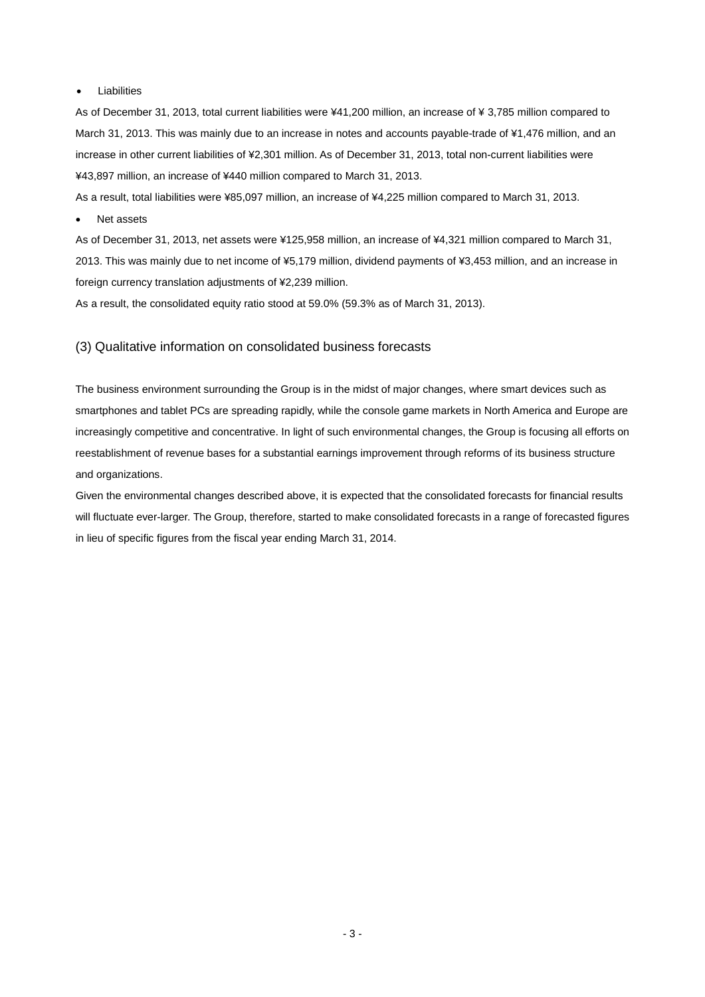#### • Liabilities

As of December 31, 2013, total current liabilities were ¥41,200 million, an increase of ¥ 3,785 million compared to March 31, 2013. This was mainly due to an increase in notes and accounts payable-trade of ¥1,476 million, and an increase in other current liabilities of ¥2,301 million. As of December 31, 2013, total non-current liabilities were ¥43,897 million, an increase of ¥440 million compared to March 31, 2013.

As a result, total liabilities were ¥85,097 million, an increase of ¥4,225 million compared to March 31, 2013.

Net assets

As of December 31, 2013, net assets were ¥125,958 million, an increase of ¥4,321 million compared to March 31, 2013. This was mainly due to net income of ¥5,179 million, dividend payments of ¥3,453 million, and an increase in foreign currency translation adjustments of ¥2,239 million.

As a result, the consolidated equity ratio stood at 59.0% (59.3% as of March 31, 2013).

#### (3) Qualitative information on consolidated business forecasts

The business environment surrounding the Group is in the midst of major changes, where smart devices such as smartphones and tablet PCs are spreading rapidly, while the console game markets in North America and Europe are increasingly competitive and concentrative. In light of such environmental changes, the Group is focusing all efforts on reestablishment of revenue bases for a substantial earnings improvement through reforms of its business structure and organizations.

Given the environmental changes described above, it is expected that the consolidated forecasts for financial results will fluctuate ever-larger. The Group, therefore, started to make consolidated forecasts in a range of forecasted figures in lieu of specific figures from the fiscal year ending March 31, 2014.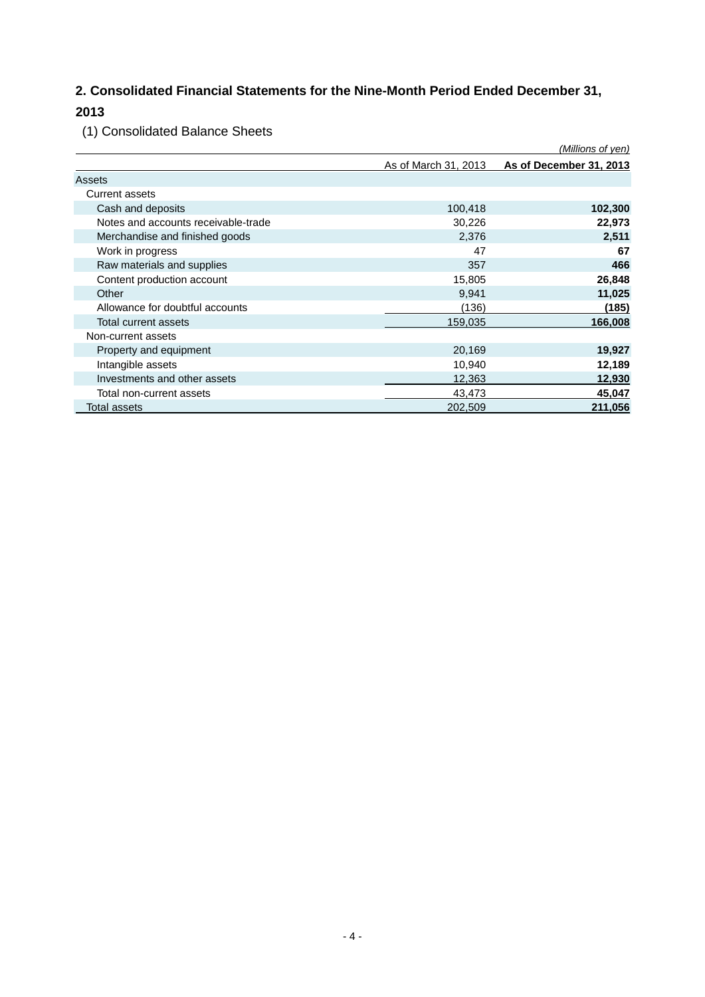## **2. Consolidated Financial Statements for the Nine-Month Period Ended December 31,**

## **2013**

(1) Consolidated Balance Sheets

|                                     |                      | (Millions of yen)       |
|-------------------------------------|----------------------|-------------------------|
|                                     | As of March 31, 2013 | As of December 31, 2013 |
| Assets                              |                      |                         |
| <b>Current assets</b>               |                      |                         |
| Cash and deposits                   | 100,418              | 102,300                 |
| Notes and accounts receivable-trade | 30,226               | 22,973                  |
| Merchandise and finished goods      | 2,376                | 2,511                   |
| Work in progress                    | 47                   | 67                      |
| Raw materials and supplies          | 357                  | 466                     |
| Content production account          | 15,805               | 26,848                  |
| Other                               | 9,941                | 11,025                  |
| Allowance for doubtful accounts     | (136)                | (185)                   |
| Total current assets                | 159,035              | 166,008                 |
| Non-current assets                  |                      |                         |
| Property and equipment              | 20,169               | 19,927                  |
| Intangible assets                   | 10,940               | 12,189                  |
| Investments and other assets        | 12,363               | 12,930                  |
| Total non-current assets            | 43,473               | 45,047                  |
| Total assets                        | 202,509              | 211,056                 |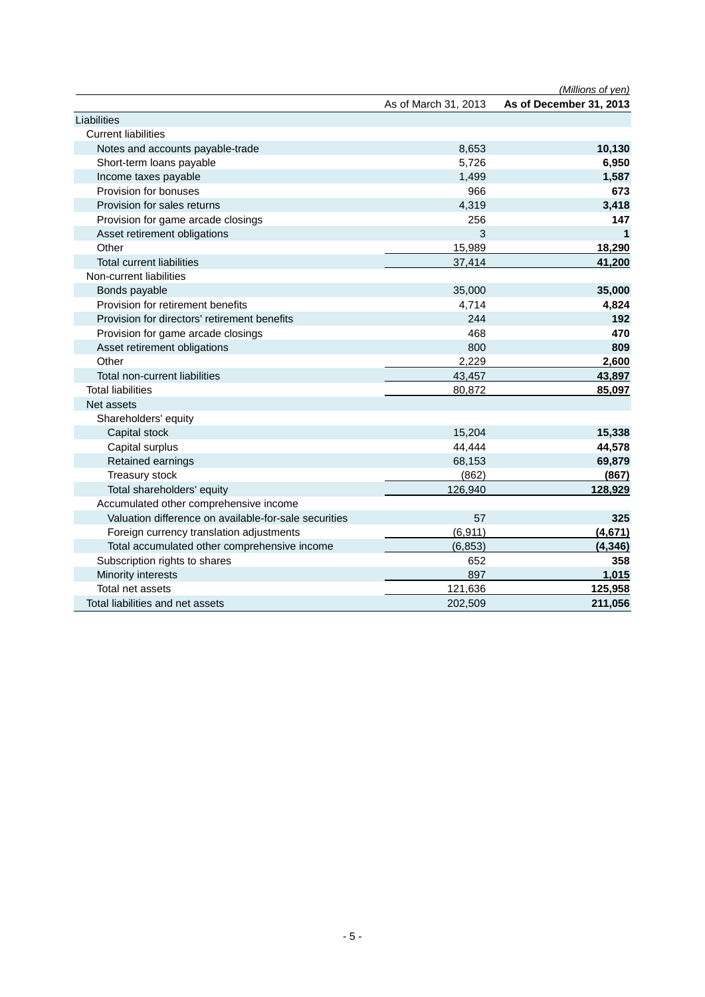|                                                       |                      | (Millions of yen)       |
|-------------------------------------------------------|----------------------|-------------------------|
|                                                       | As of March 31, 2013 | As of December 31, 2013 |
| Liabilities                                           |                      |                         |
| <b>Current liabilities</b>                            |                      |                         |
| Notes and accounts payable-trade                      | 8,653                | 10,130                  |
| Short-term loans payable                              | 5,726                | 6,950                   |
| Income taxes payable                                  | 1,499                | 1,587                   |
| Provision for bonuses                                 | 966                  | 673                     |
| Provision for sales returns                           | 4,319                | 3,418                   |
| Provision for game arcade closings                    | 256                  | 147                     |
| Asset retirement obligations                          | 3                    | $\mathbf 1$             |
| Other                                                 | 15,989               | 18,290                  |
| <b>Total current liabilities</b>                      | 37,414               | 41,200                  |
| Non-current liabilities                               |                      |                         |
| Bonds payable                                         | 35,000               | 35,000                  |
| Provision for retirement benefits                     | 4,714                | 4,824                   |
| Provision for directors' retirement benefits          | 244                  | 192                     |
| Provision for game arcade closings                    | 468                  | 470                     |
| Asset retirement obligations                          | 800                  | 809                     |
| Other                                                 | 2,229                | 2,600                   |
| Total non-current liabilities                         | 43,457               | 43,897                  |
| <b>Total liabilities</b>                              | 80,872               | 85,097                  |
| Net assets                                            |                      |                         |
| Shareholders' equity                                  |                      |                         |
| Capital stock                                         | 15,204               | 15,338                  |
| Capital surplus                                       | 44,444               | 44,578                  |
| Retained earnings                                     | 68,153               | 69,879                  |
| Treasury stock                                        | (862)                | (867)                   |
| Total shareholders' equity                            | 126,940              | 128,929                 |
| Accumulated other comprehensive income                |                      |                         |
| Valuation difference on available-for-sale securities | 57                   | 325                     |
| Foreign currency translation adjustments              | (6, 911)             | (4,671)                 |
| Total accumulated other comprehensive income          | (6, 853)             | (4, 346)                |
| Subscription rights to shares                         | 652                  | 358                     |
| Minority interests                                    | 897                  | 1,015                   |
| Total net assets                                      | 121,636              | 125,958                 |
| Total liabilities and net assets                      | 202,509              | 211,056                 |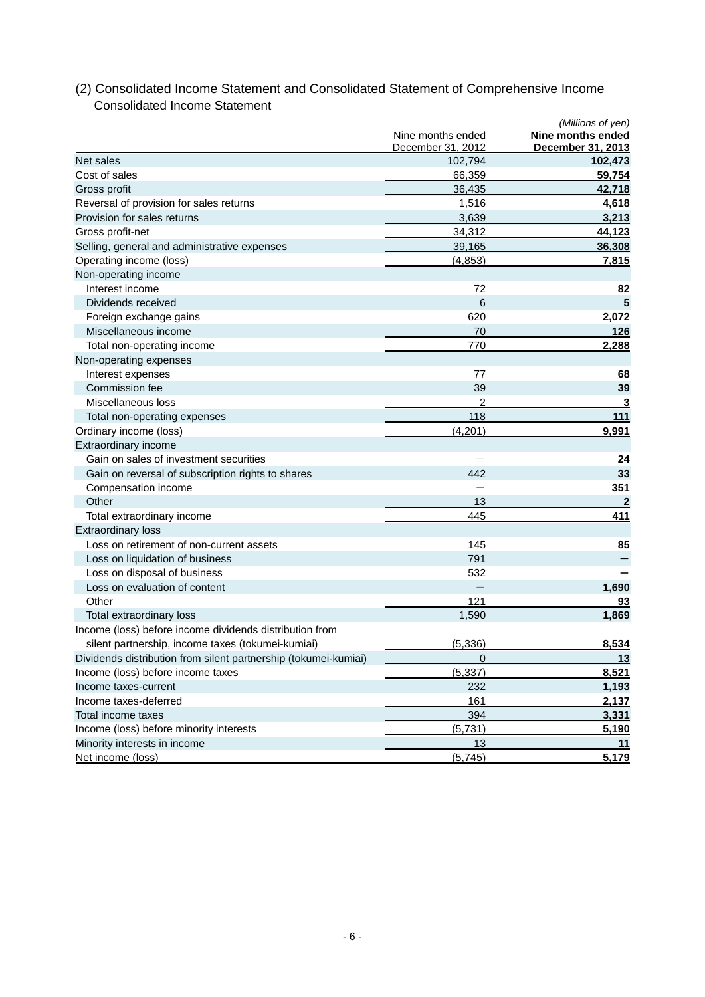#### *(Millions of yen)* Nine months ended<br>December 31, 2012<br>**December 31, 2013** December 31, 2012 **December 31, 2013** Net sales 102,794 **102,473** Cost of sales 66,359 **59,754** Gross profit 36,435 **42,718** Reversal of provision for sales returns **1,516 1,516 4,618** Provision for sales returns 3,639 **3,213** Gross profit-net 34,312 **44,123** Selling, general and administrative expenses 39,165 39,165 36,308 Operating income (loss) (4,853) **7,815** Non-operating income Interest income 72 **82** Dividends received 6 **5** Foreign exchange gains **2,072** Miscellaneous income 70 **126** Total non-operating income 770 **2,288** Non-operating expenses Interest expenses 77 **68** Commission fee 39 **39** Miscellaneous loss 2 **3** Total non-operating expenses 118 Ordinary income (loss) (4,201) **9,991** Extraordinary income Gain on sales of investment securities **24 24** Gain on reversal of subscription rights to shares 442 **33** Compensation income - **351** Other 13 **2** Total extraordinary income 445 **411** Extraordinary loss Loss on retirement of non-current assets 145 **85** Loss on liquidation of business **791** - The Control of Business **791** - The Control of Business **791** - The Control of Business **791** - The Control of Business **791** - The Control of Business **791** - The Control of Busines Loss on disposal of business **532** Loss on evaluation of content - **1,690** Other 121 **93** Total extraordinary loss 1,590 **1,869** Income (loss) before income dividends distribution from silent partnership, income taxes (tokumei-kumiai) (5,336) **8,534** Dividends distribution from silent partnership (tokumei-kumiai)  $\qquad 0$  0 **13**<br>Income (loss) before income taxes **8,521** Income (loss) before income taxes **8,521** Income taxes-current 232 **1,193 Income taxes-deferred 2.137 161 2.137** Total income taxes 394 **3,331** Income (loss) before minority interests (5,731) **5,190** Minority interests in income 13 **11** Net income (loss) (5,745) **5,179**

## (2) Consolidated Income Statement and Consolidated Statement of Comprehensive Income Consolidated Income Statement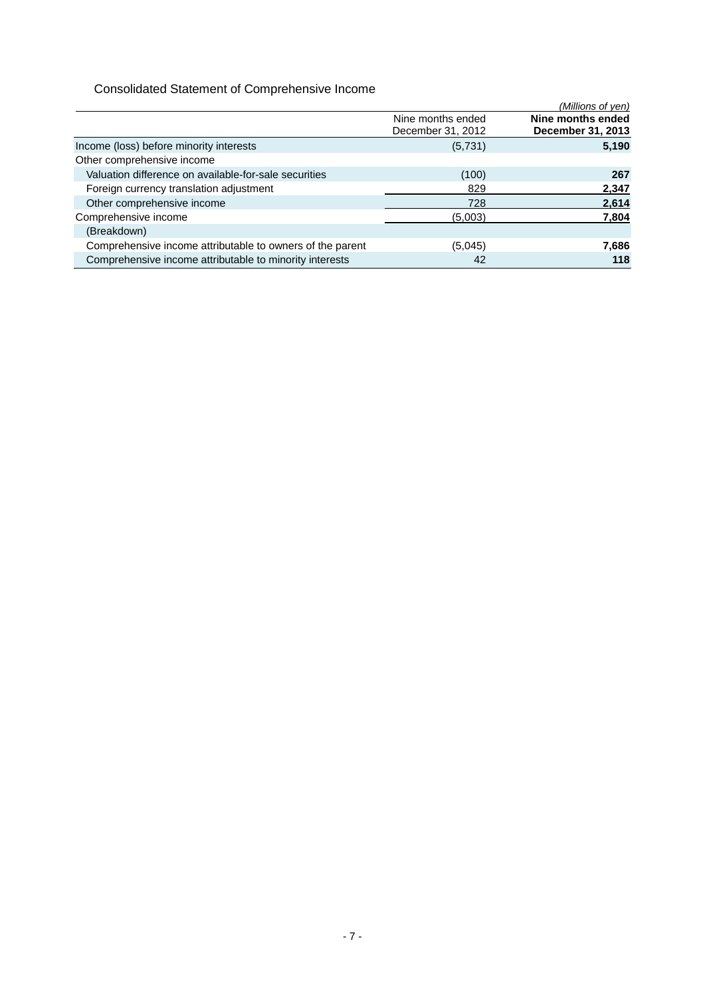## Consolidated Statement of Comprehensive Income

|                                                           |                                        | (Millions of yen)                      |
|-----------------------------------------------------------|----------------------------------------|----------------------------------------|
|                                                           | Nine months ended<br>December 31, 2012 | Nine months ended<br>December 31, 2013 |
| Income (loss) before minority interests                   | (5,731)                                | 5,190                                  |
| Other comprehensive income                                |                                        |                                        |
| Valuation difference on available-for-sale securities     | (100)                                  | 267                                    |
| Foreign currency translation adjustment                   | 829                                    | 2,347                                  |
| Other comprehensive income                                | 728                                    | 2,614                                  |
| Comprehensive income                                      | (5,003)                                | 7,804                                  |
| (Breakdown)                                               |                                        |                                        |
| Comprehensive income attributable to owners of the parent | (5,045)                                | 7,686                                  |
| Comprehensive income attributable to minority interests   | 42                                     | 118                                    |